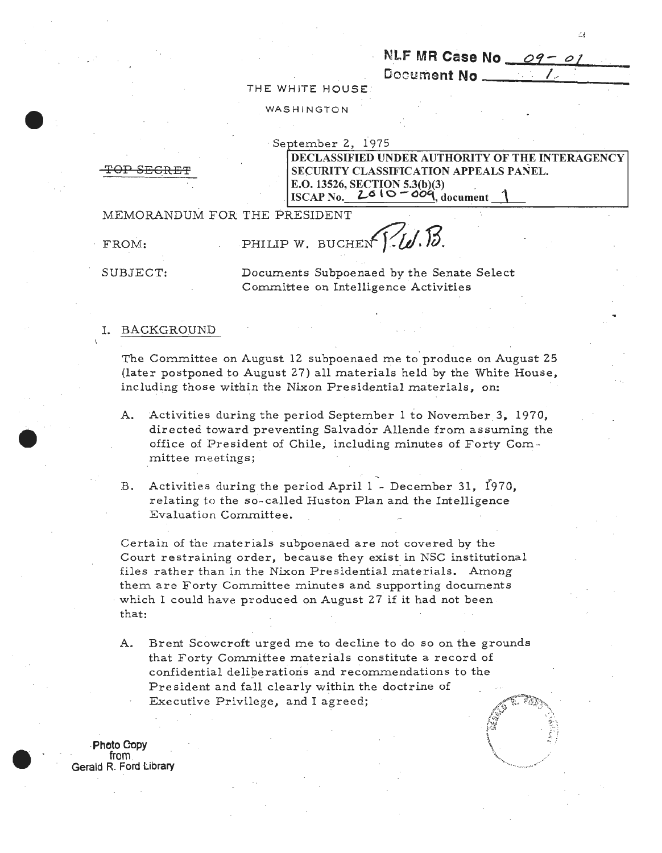NLF MR Case No  $-$ 09-01

Document **No** ------:./..:.;.,-\_\_\_\_ THE WHJTE HOUSE

WASHINGTON

September 2, 1975 DECLASSIFIED UNDER AUTHORITY OF THE INTERAGENCY OP SECRET SECURITY CLASSIFICATION APPEALS PANEL. E.O. 13526, SECTION 5.3(b)(3) \_ **ISCAP No.**  $2610 - 009$ , document

MEMORANDUM FOR THE PRESIDENT

FROM: PHILIP W. BUCHEN<sup>[1</sup>.

SUBJECT: Documents Subpoenaed by the Senate Select Committee on Intelligence Activities

#### I. BACKGROUND

The Committee on August 12 subpoenaed me to produce on August 25 (later postponed to August 27) all materials held by the White House, including those within the Nixon Presidential materials, on:

- A. Activities during the period September 1 to November 3, 1970, directed toward preventing Salvador Allende from assuming the office of President of Chile, including minutes of Forty Committee meetings;
- B. Activities during the period April 1 December 31, 1970, relating to the so-called Huston Plan and the Intelligence Evaluation Committee.

Certain of the materials subpoenaed are not covered by the Court restraining order, because they exist in NSC institutional files rather than in the Nixon Presidential materials. Among them are Forty Committee minutes and supporting documents · which I could have produced on August 27 if it had *not* been . that:

A. Brent Scowcroft urged me to decline to do so on the grounds that Forty Committee materials constitute a record of confidential deliberations and recommendations to the President and fall clearly within the doctrine of Executive Privilege, and I agreed;

**-Photo Copy<br>from .<br>Gerald R. Ford Library**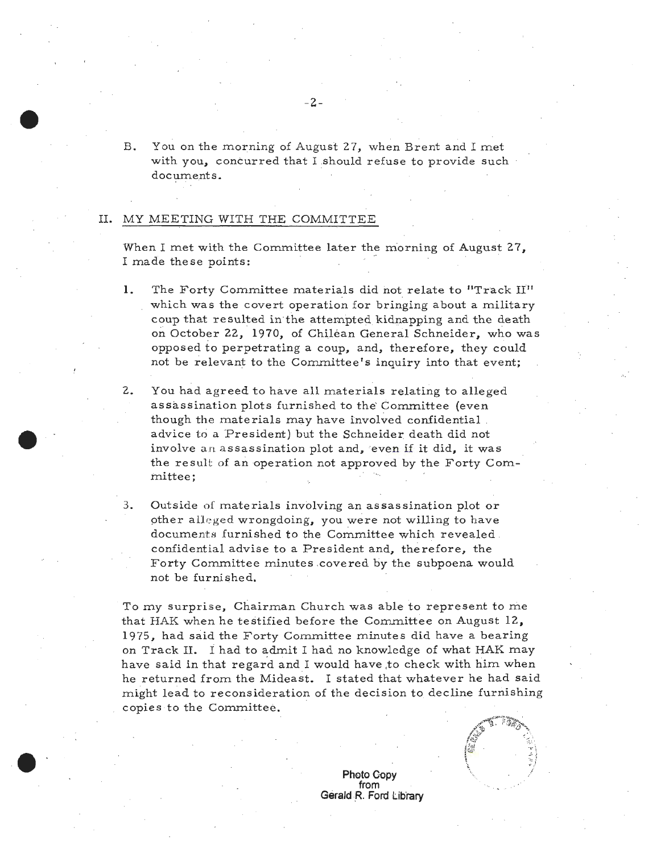B. You on the morning of August 27, when Brent and I met with you, concurred that I should refuse to provide such documents.

#### II. MY MEETING WITH THE COMMITTEE

When I met with the Committee later the morning of August 27, I made these points:

- 1. The Forty Committee materials did not relate to "Track II" which was the covert operation for bringing about a military coup that resulted in the attempted kidnapping and the death on October 22, 1970, of Chilean General Schneider, who was opposed to perpetrating a coup, and, therefore, they could not be relevant to the Committee's inquiry into that event;
- 2. You had agreed to have all materials relating to alleged assassination plots furnished to the' Committee (even though the materials may have involved confidential advice to a President) but the Schneider death did not involve an assassination plot and, even if it did, it was the result of an operation not approved by the Forty Committee;
- 3. Outside of materials involving an assassination plot or other alleged wrongdoing, you were not willing to have documents furnished to the Committee which revealed . confidential advise to a President and, therefore, the Forty Committee minutes covered by the subpoena would not be furnished.

To my surprise, Chairman Church was able to represent to me that HAK when he testified before the Committee on August 12, 1975, had said the Forty Committee minutes did have a bearing on Track II. i had to admit I had no knowledge of what HAK may have said in that regard and I would have to check with him when he returned from the Mideast. I stated that whatever he had said might lead to reconsideration of the decision to. decline furnishing copies to the Committee.

> **Photo Gopy**  from **Gerald .R. Ford Library**



 $-2-$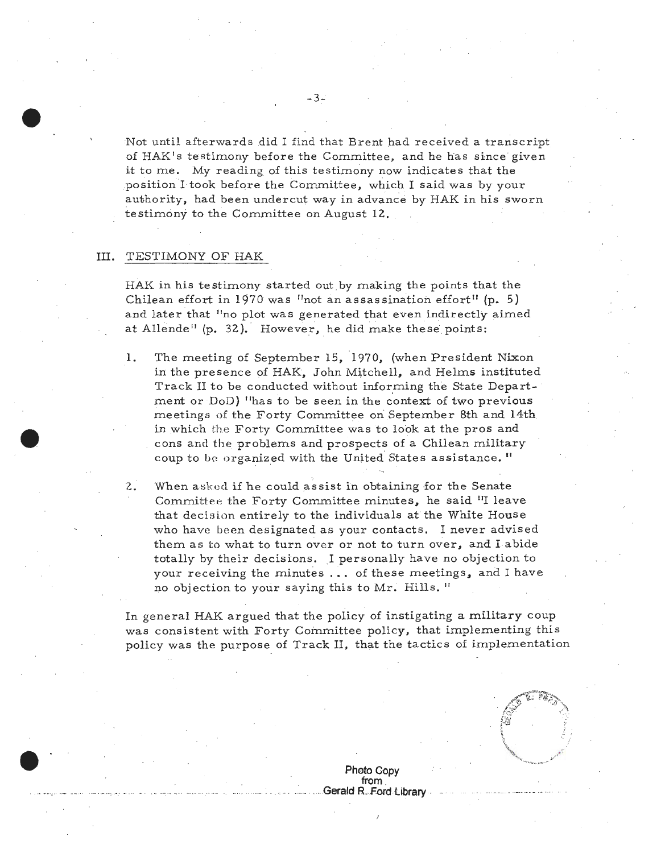Not until afterwards did I find that Brent had received a transcript of HAK's testimony before the Committee, and he has since given it to me. My reading of this testimony now indicates that the position I took before the Committee, which I said was by your authority, had been undercut way in advance by HAK in his sworn testimony to the Committee on August 12.

### III. TESTIMONY OF HAK

HAK in his testimony started out by making the points that the Chilean effort in 1970 was "not an assassination effort" (p. 5) and later that ''no plot was generated that even indirectly aimed at Allende"  $(p. 32)$ . However, he did make these points:

- 1. The meeting of September 15, 1970, (when President Nixon in the presence of HAK, John Mitchell, and Helms instituted Track II to be conducted without informing the State Department or DoD) "has to be seen in the context of two previous meetings of the Forty Committee on September 8th and 14th in which the Forty Committee was to look at the pros and cons and the problems and prospects of a Chilean military coup to be organized with the United States assistance."
- 2. When a sked if he could assist in obtaining for the Senate Committee the Forty Committee minutes, he said "I leave that decision entirely to the individuals at the White House who have been designated as your contacts. I never advised them as to what to turn over or not to turn over, and I abide totally by their decisions. I personally have no objection to your receiving the minutes ... of these meetings, and I have no objection to your saying this to Mr. Hills."

In general HAK argued that the policy of instigating a military coup was consistent with Forty Committee policy, that implementing this policy was the purpose of Track II, that the tactics of implementation



**Photo Copy from .** . **Gerald R. Ford Library** .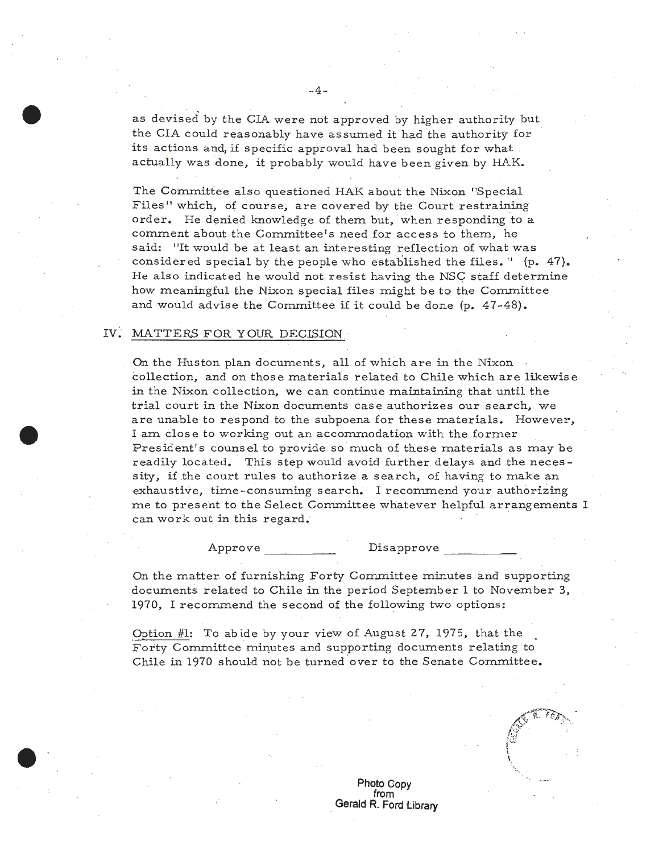as devised by the CIA were not approved by higher authority but the CIA could reasonably have assumed it had the authority for · its actions and, if specific approval had been sought for what actually was done, it probably would have been given by HAK.

 $-4-$ 

The Committee also questioned HAK about the Nixon "Special Files" which, of course, are covered by the Court restraining order. He denied knowledge of them but, when responding to a comment about the Committee's need for access to them, he said: "It would be at least an interesting reflection of what was considered special by the people who established the files.  $\mathbf{1}^1$  (p. 47). He also indicated he would not resist having the NSC staff determine how meaningful the Nixon special files might be to the Committee and would advise the Committee if it could be done (p. 47-48).

### IV. MATTERS FOR YOUR DECISION

On the Huston plan documents, all of which are in the Nixon collection, and on those materials related to Chile which are likewise in the Nixon collection, we can continue maintaining that until the trial court in the Nixon documents caseauthorizes our search, we are unable to respond to the subpoena for these materials. However, I am close to working out an accommodation with the former President's counsel to provide so much of these materials as may be readily located. This step would avoid further delays and the necessity, if the court rules to authorize a search, of having to make an exhaustive, time-consuming search. I recommend your authorizing me to present to the Select Committee whatever helpful arrangements I can work out in this regard.

#### Approve Disapprove

On the matter of furnishing Forty Committee minutes and supporting documents related to Chile in the period September **1** to November 3, 1970, I recommend the second of the following two options:

Option #1: To abide by your view of August 27, 1975, that the Forty Committee minutes and supporting documents relating to Chile in 1970 should not be turned over to the Senate Committee.

 $\pi$ . Figure  $\mathbf{I}$ 

**Photo Copy from**  . **Gerald R. Ford Library**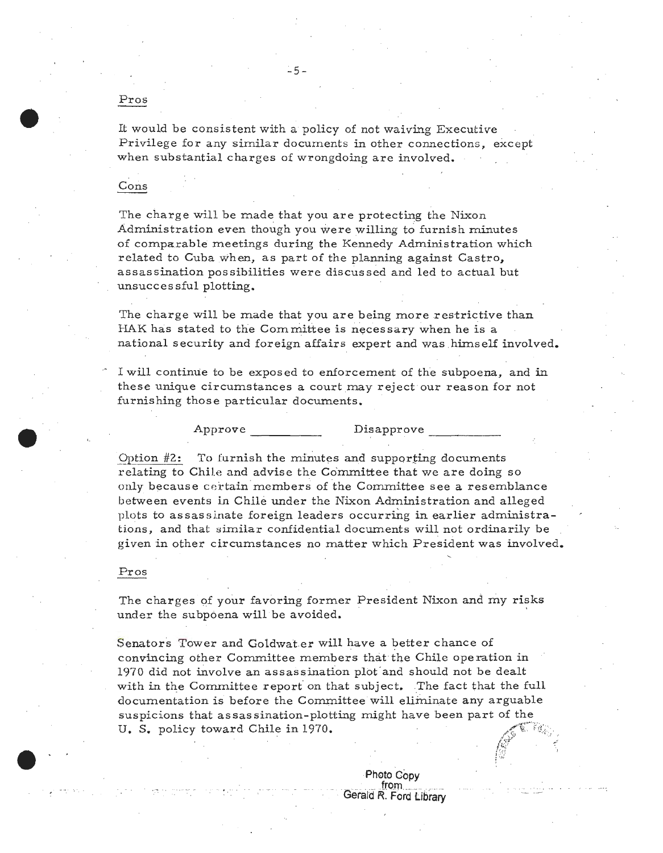## Pros

It would be consistent with a policy of not waiving Executive Privilege for any similar documents in other connections, except when substantial charges of wrongdoing are involved.

# Cons

The charge will be made that you are protecting the Nixon Administration even though you were willing to furnish minutes of comparable meetings during the Kennedy Administration which related to Cuba when, as part of the planning against Castro, assassination possibilities were discussed and led to actual but unsuccessful plotting.

The charge will be made that you are being more restrictive than HAK has stated to the Committee is necessary when he is a national security and foreign affairs expert and was himself involved.

I will continue to be exposed to enforcement of the subpoena, and in these unique circumstances a court may reject our reason for not furnishing those particular documents.

Approve

Disapprove

To furnish the minutes and supporting documents Option  $#2$ : relating to Chile and advise the Committee that we are doing so only because certain members of the Committee see a resemblance between events in Chile under the Nixon Administration and alleged plots to assassinate foreign leaders occurring in earlier administrations, and that similar confidential documents will not ordinarily be given in other circumstances no matter which President was involved.

#### Pros

The charges of your favoring former President Nixon and my risks under the subpoena will be avoided.

Senators Tower and Goldwater will have a better chance of convincing other Committee members that the Chile operation in 1970 did not involve an assassination plot and should not be dealt with in the Committee report on that subject. The fact that the full documentation is before the Committee will eliminate any arguable suspicions that assassination-plotting might have been part of the U. S. policy toward Chile in 1970.

> Photo Copy from Gerald R. Ford Library